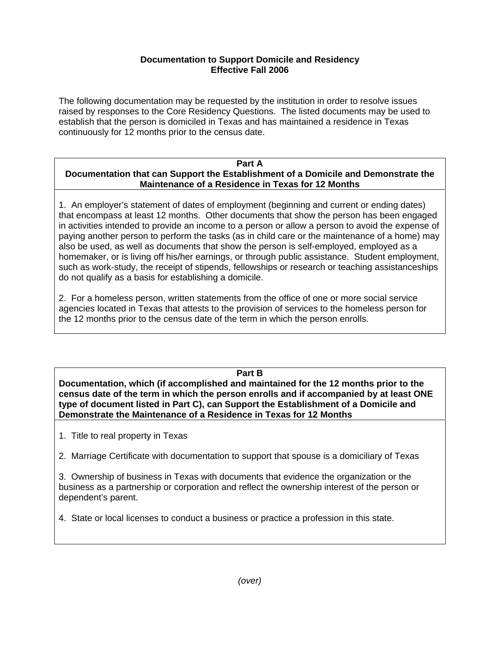## **Documentation to Support Domicile and Residency Effective Fall 2006**

The following documentation may be requested by the institution in order to resolve issues raised by responses to the Core Residency Questions. The listed documents may be used to establish that the person is domiciled in Texas and has maintained a residence in Texas continuously for 12 months prior to the census date.

## **Part A Documentation that can Support the Establishment of a Domicile and Demonstrate the Maintenance of a Residence in Texas for 12 Months**

1. An employer's statement of dates of employment (beginning and current or ending dates) that encompass at least 12 months. Other documents that show the person has been engaged in activities intended to provide an income to a person or allow a person to avoid the expense of paying another person to perform the tasks (as in child care or the maintenance of a home) may also be used, as well as documents that show the person is self-employed, employed as a homemaker, or is living off his/her earnings, or through public assistance. Student employment, such as work-study, the receipt of stipends, fellowships or research or teaching assistanceships do not qualify as a basis for establishing a domicile.

2. For a homeless person, written statements from the office of one or more social service agencies located in Texas that attests to the provision of services to the homeless person for the 12 months prior to the census date of the term in which the person enrolls.

## **Part B**

**Documentation, which (if accomplished and maintained for the 12 months prior to the census date of the term in which the person enrolls and if accompanied by at least ONE type of document listed in Part C), can Support the Establishment of a Domicile and Demonstrate the Maintenance of a Residence in Texas for 12 Months** 

1. Title to real property in Texas

2. Marriage Certificate with documentation to support that spouse is a domiciliary of Texas

3. Ownership of business in Texas with documents that evidence the organization or the business as a partnership or corporation and reflect the ownership interest of the person or dependent's parent.

4. State or local licenses to conduct a business or practice a profession in this state.